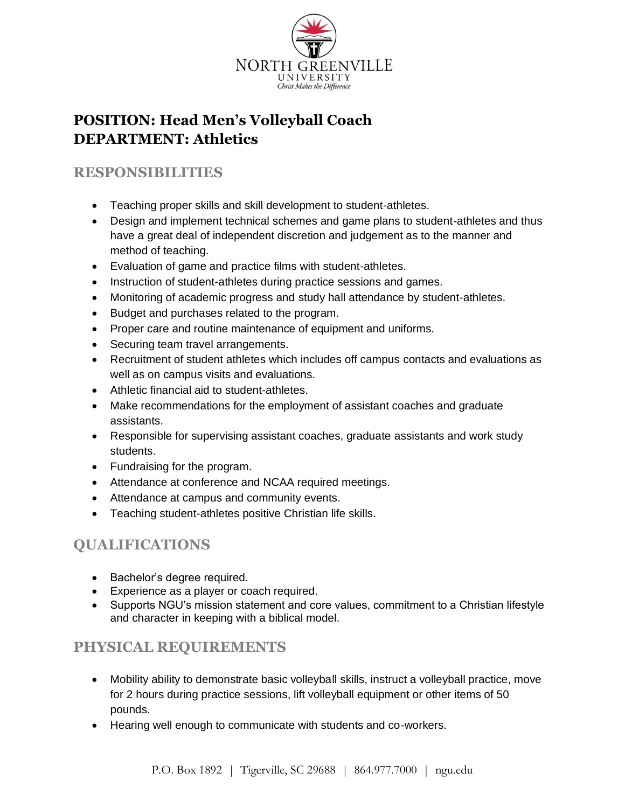

# **POSITION: Head Men's Volleyball Coach DEPARTMENT: Athletics**

### **RESPONSIBILITIES**

- Teaching proper skills and skill development to student-athletes.
- Design and implement technical schemes and game plans to student-athletes and thus have a great deal of independent discretion and judgement as to the manner and method of teaching.
- Evaluation of game and practice films with student-athletes.
- Instruction of student-athletes during practice sessions and games.
- Monitoring of academic progress and study hall attendance by student-athletes.
- Budget and purchases related to the program.
- Proper care and routine maintenance of equipment and uniforms.
- Securing team travel arrangements.
- Recruitment of student athletes which includes off campus contacts and evaluations as well as on campus visits and evaluations.
- Athletic financial aid to student-athletes.
- Make recommendations for the employment of assistant coaches and graduate assistants.
- Responsible for supervising assistant coaches, graduate assistants and work study students.
- Fundraising for the program.
- Attendance at conference and NCAA required meetings.
- Attendance at campus and community events.
- Teaching student-athletes positive Christian life skills.

## **QUALIFICATIONS**

- Bachelor's degree required.
- Experience as a player or coach required.
- Supports NGU's mission statement and core values, commitment to a Christian lifestyle and character in keeping with a biblical model.

## **PHYSICAL REQUIREMENTS**

- Mobility ability to demonstrate basic volleyball skills, instruct a volleyball practice, move for 2 hours during practice sessions, lift volleyball equipment or other items of 50 pounds.
- Hearing well enough to communicate with students and co-workers.